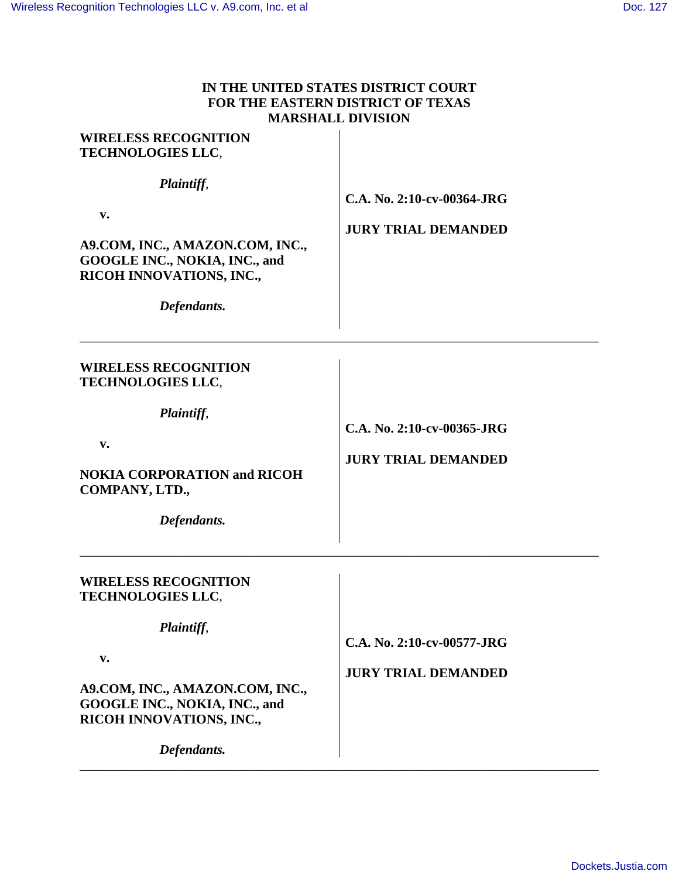| IN THE UNITED STATES DISTRICT COURT |
|-------------------------------------|
| FOR THE EASTERN DISTRICT OF TEXAS   |
| <b>MARSHALL DIVISION</b>            |

| <b>WIRELESS RECOGNITION</b><br><b>TECHNOLOGIES LLC,</b>                                                                                                                                    |                                                          |
|--------------------------------------------------------------------------------------------------------------------------------------------------------------------------------------------|----------------------------------------------------------|
| Plaintiff,<br>$\mathbf{v}$ .<br>A9.COM, INC., AMAZON.COM, INC.,<br>GOOGLE INC., NOKIA, INC., and<br>RICOH INNOVATIONS, INC.,<br>Defendants.                                                | C.A. No. 2:10-cv-00364-JRG<br><b>JURY TRIAL DEMANDED</b> |
| <b>WIRELESS RECOGNITION</b><br><b>TECHNOLOGIES LLC,</b><br>Plaintiff,<br>v.<br><b>NOKIA CORPORATION and RICOH</b><br>COMPANY, LTD.,<br>Defendants.                                         | C.A. No. 2:10-cv-00365-JRG<br><b>JURY TRIAL DEMANDED</b> |
| <b>WIRELESS RECOGNITION</b><br><b>TECHNOLOGIES LLC,</b><br>Plaintiff,<br>v.<br>A9.COM, INC., AMAZON.COM, INC.,<br>GOOGLE INC., NOKIA, INC., and<br>RICOH INNOVATIONS, INC.,<br>Defendants. | C.A. No. 2:10-cv-00577-JRG<br><b>JURY TRIAL DEMANDED</b> |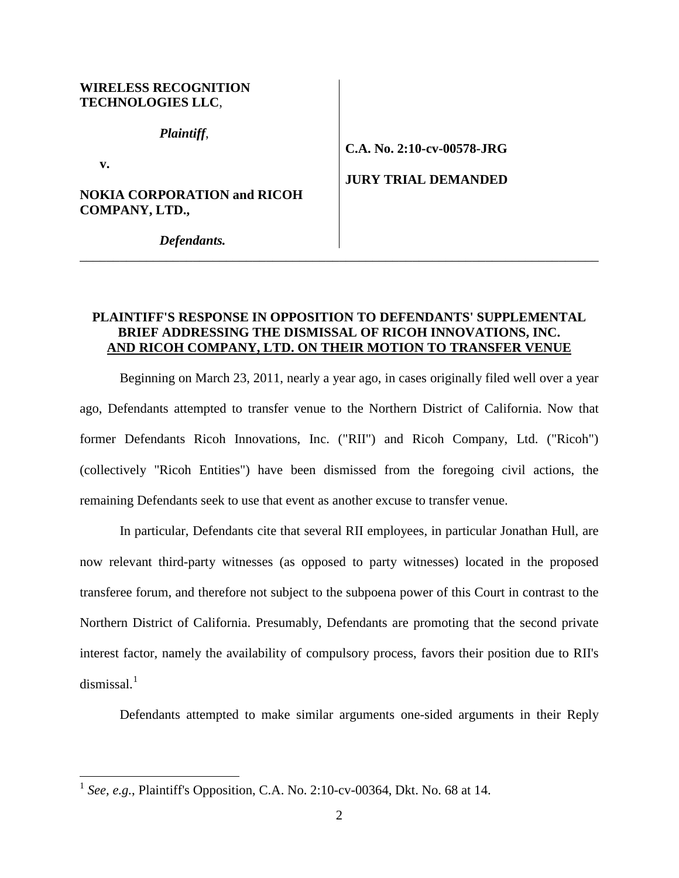## **WIRELESS RECOGNITION TECHNOLOGIES LLC**,

*Plaintiff*,

**v.** 

 $\overline{a}$ 

## **NOKIA CORPORATION and RICOH COMPANY, LTD.,**

**C.A. No. 2:10-cv-00578-JRG**

**JURY TRIAL DEMANDED**

*Defendants.*

## **PLAINTIFF'S RESPONSE IN OPPOSITION TO DEFENDANTS' SUPPLEMENTAL BRIEF ADDRESSING THE DISMISSAL OF RICOH INNOVATIONS, INC. AND RICOH COMPANY, LTD. ON THEIR MOTION TO TRANSFER VENUE**

\_\_\_\_\_\_\_\_\_\_\_\_\_\_\_\_\_\_\_\_\_\_\_\_\_\_\_\_\_\_\_\_\_\_\_\_\_\_\_\_\_\_\_\_\_\_\_\_\_\_\_\_\_\_\_\_\_\_\_\_\_\_\_\_\_\_\_\_\_\_\_\_\_\_\_\_\_\_

Beginning on March 23, 2011, nearly a year ago, in cases originally filed well over a year ago, Defendants attempted to transfer venue to the Northern District of California. Now that former Defendants Ricoh Innovations, Inc. ("RII") and Ricoh Company, Ltd. ("Ricoh") (collectively "Ricoh Entities") have been dismissed from the foregoing civil actions, the remaining Defendants seek to use that event as another excuse to transfer venue.

In particular, Defendants cite that several RII employees, in particular Jonathan Hull, are now relevant third-party witnesses (as opposed to party witnesses) located in the proposed transferee forum, and therefore not subject to the subpoena power of this Court in contrast to the Northern District of California. Presumably, Defendants are promoting that the second private interest factor, namely the availability of compulsory process, favors their position due to RII's dismissal. $1$ 

Defendants attempted to make similar arguments one-sided arguments in their Reply

<span id="page-1-0"></span><sup>&</sup>lt;sup>1</sup> See, e.g., Plaintiff's Opposition, C.A. No. 2:10-cv-00364, Dkt. No. 68 at 14.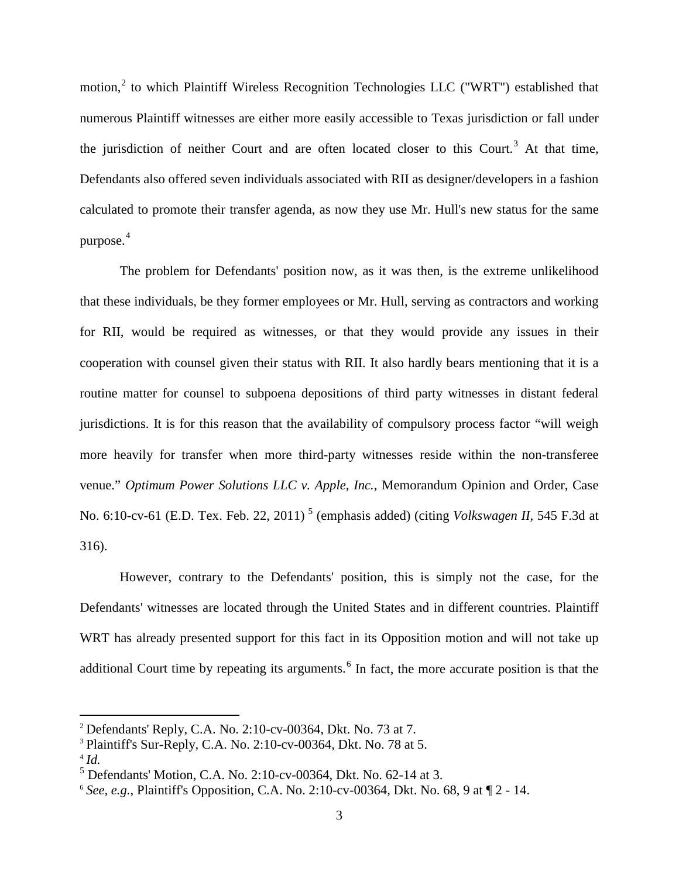motion,<sup>[2](#page-2-0)</sup> to which Plaintiff Wireless Recognition Technologies LLC ("WRT") established that numerous Plaintiff witnesses are either more easily accessible to Texas jurisdiction or fall under the jurisdiction of neither Court and are often located closer to this Court.<sup>[3](#page-2-1)</sup> At that time, Defendants also offered seven individuals associated with RII as designer/developers in a fashion calculated to promote their transfer agenda, as now they use Mr. Hull's new status for the same purpose. $4$ 

The problem for Defendants' position now, as it was then, is the extreme unlikelihood that these individuals, be they former employees or Mr. Hull, serving as contractors and working for RII, would be required as witnesses, or that they would provide any issues in their cooperation with counsel given their status with RII. It also hardly bears mentioning that it is a routine matter for counsel to subpoena depositions of third party witnesses in distant federal jurisdictions. It is for this reason that the availability of compulsory process factor "will weigh more heavily for transfer when more third-party witnesses reside within the non-transferee venue." *Optimum Power Solutions LLC v. Apple, Inc.*, Memorandum Opinion and Order, Case No. 6:10-cv-61 (E.D. Tex. Feb. 22, 2011) [5](#page-2-3) (emphasis added) (citing *Volkswagen II*, 545 F.3d at 316).

However, contrary to the Defendants' position, this is simply not the case, for the Defendants' witnesses are located through the United States and in different countries. Plaintiff WRT has already presented support for this fact in its Opposition motion and will not take up additional Court time by repeating its arguments.<sup>[6](#page-2-4)</sup> In fact, the more accurate position is that the

 $\overline{a}$ 

<span id="page-2-0"></span><sup>2</sup> Defendants' Reply, C.A. No. 2:10-cv-00364, Dkt. No. 73 at 7.

<span id="page-2-1"></span><sup>&</sup>lt;sup>3</sup> Plaintiff's Sur-Reply, C.A. No. 2:10-cv-00364, Dkt. No. 78 at 5.

<span id="page-2-3"></span><span id="page-2-2"></span><sup>4</sup> *Id.*

<sup>5</sup> Defendants' Motion, C.A. No. 2:10-cv-00364, Dkt. No. 62-14 at 3.

<span id="page-2-4"></span><sup>6</sup> *See, e.g.*, Plaintiff's Opposition, C.A. No. 2:10-cv-00364, Dkt. No. 68, 9 at ¶ 2 - 14.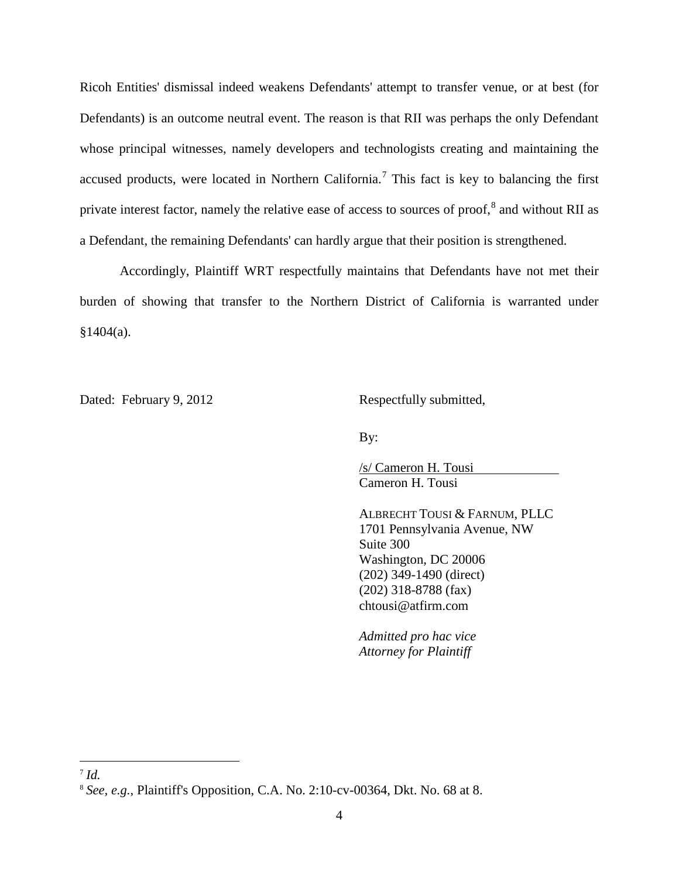Ricoh Entities' dismissal indeed weakens Defendants' attempt to transfer venue, or at best (for Defendants) is an outcome neutral event. The reason is that RII was perhaps the only Defendant whose principal witnesses, namely developers and technologists creating and maintaining the accused products, were located in Northern California.<sup>[7](#page-3-0)</sup> This fact is key to balancing the first private interest factor, namely the relative ease of access to sources of proof,<sup>[8](#page-3-1)</sup> and without RII as a Defendant, the remaining Defendants' can hardly argue that their position is strengthened.

Accordingly, Plaintiff WRT respectfully maintains that Defendants have not met their burden of showing that transfer to the Northern District of California is warranted under  $§1404(a).$ 

Dated: February 9, 2012 Respectfully submitted,

By:

Cameron H. Tousi /s/ Cameron H. Tousi

ALBRECHT TOUSI & FARNUM, PLLC 1701 Pennsylvania Avenue, NW Suite 300 Washington, DC 20006 (202) 349-1490 (direct) (202) 318-8788 (fax) chtousi@atfirm.com

*Admitted pro hac vice Attorney for Plaintiff*

<u>.</u>

<span id="page-3-0"></span><sup>7</sup> *Id.*

<span id="page-3-1"></span><sup>8</sup> *See, e.g.*, Plaintiff's Opposition, C.A. No. 2:10-cv-00364, Dkt. No. 68 at 8.